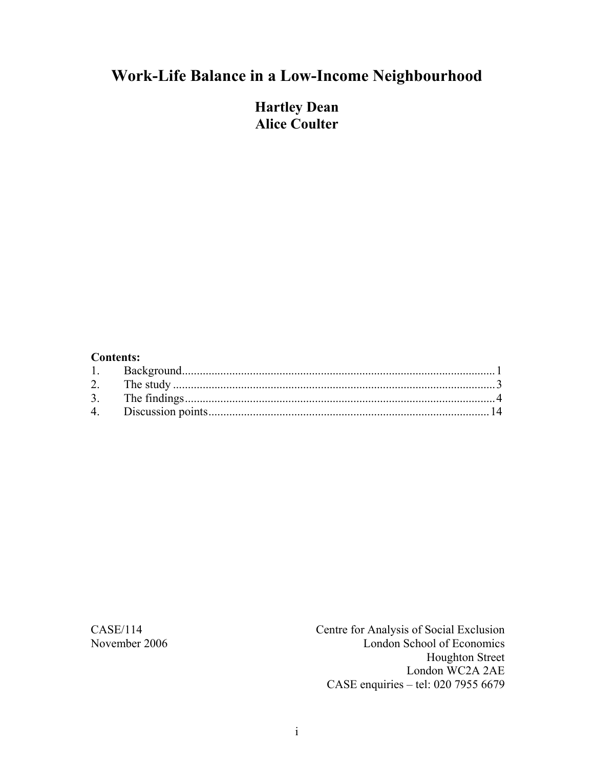# **Work-Life Balance in a Low-Income Neighbourhood**

**Hartley Dean Alice Coulter** 

#### **Contents:**

CASE/114 Centre for Analysis of Social Exclusion London School of Economics Houghton Street London WC2A 2AE CASE enquiries – tel: 020 7955 6679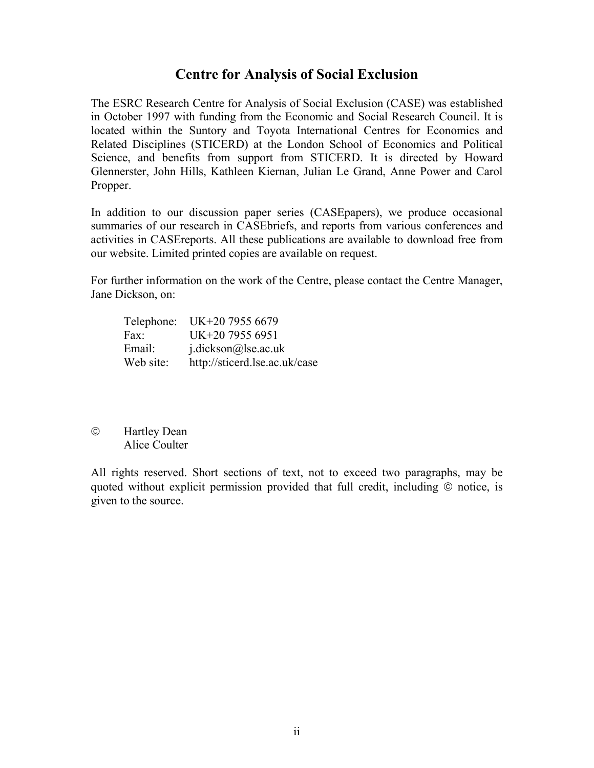# **Centre for Analysis of Social Exclusion**

The ESRC Research Centre for Analysis of Social Exclusion (CASE) was established in October 1997 with funding from the Economic and Social Research Council. It is located within the Suntory and Toyota International Centres for Economics and Related Disciplines (STICERD) at the London School of Economics and Political Science, and benefits from support from STICERD. It is directed by Howard Glennerster, John Hills, Kathleen Kiernan, Julian Le Grand, Anne Power and Carol Propper.

In addition to our discussion paper series (CASEpapers), we produce occasional summaries of our research in CASEbriefs, and reports from various conferences and activities in CASEreports. All these publications are available to download free from our website. Limited printed copies are available on request.

For further information on the work of the Centre, please contact the Centre Manager, Jane Dickson, on:

|           | Telephone: UK+20 7955 6679    |
|-----------|-------------------------------|
| Fax:      | UK+20 7955 6951               |
| Email:    | j.dickson@lse.ac.uk           |
| Web site: | http://sticerd.lse.ac.uk/case |

© Hartley Dean Alice Coulter

All rights reserved. Short sections of text, not to exceed two paragraphs, may be quoted without explicit permission provided that full credit, including © notice, is given to the source.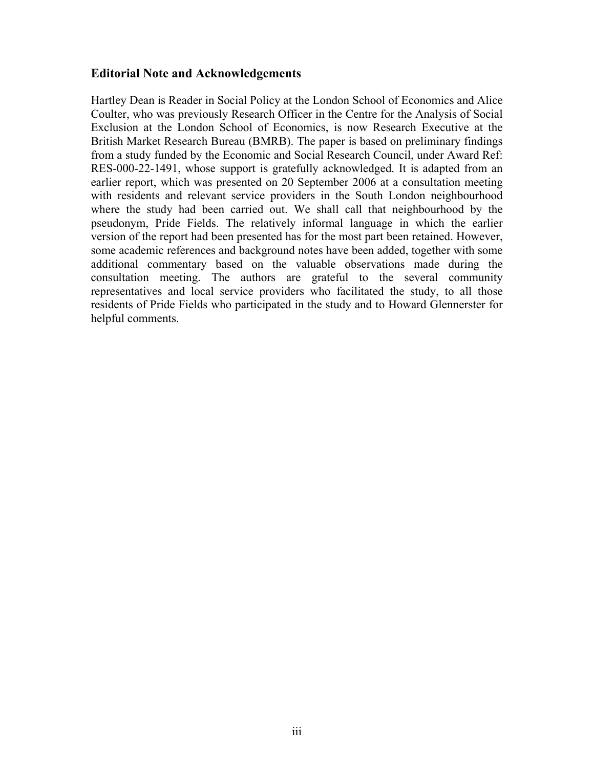# **Editorial Note and Acknowledgements**

Hartley Dean is Reader in Social Policy at the London School of Economics and Alice Coulter, who was previously Research Officer in the Centre for the Analysis of Social Exclusion at the London School of Economics, is now Research Executive at the British Market Research Bureau (BMRB). The paper is based on preliminary findings from a study funded by the Economic and Social Research Council, under Award Ref: RES-000-22-1491, whose support is gratefully acknowledged. It is adapted from an earlier report, which was presented on 20 September 2006 at a consultation meeting with residents and relevant service providers in the South London neighbourhood where the study had been carried out. We shall call that neighbourhood by the pseudonym, Pride Fields. The relatively informal language in which the earlier version of the report had been presented has for the most part been retained. However, some academic references and background notes have been added, together with some additional commentary based on the valuable observations made during the consultation meeting. The authors are grateful to the several community representatives and local service providers who facilitated the study, to all those residents of Pride Fields who participated in the study and to Howard Glennerster for helpful comments.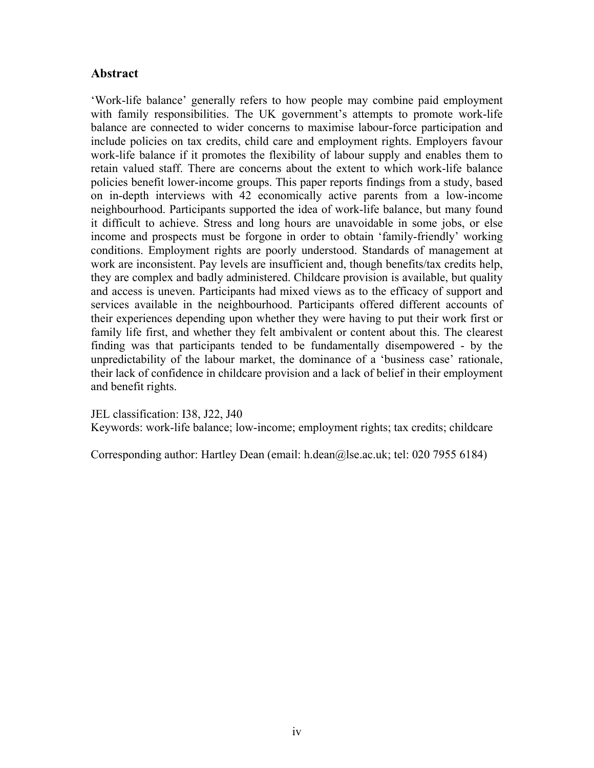# **Abstract**

'Work-life balance' generally refers to how people may combine paid employment with family responsibilities. The UK government's attempts to promote work-life balance are connected to wider concerns to maximise labour-force participation and include policies on tax credits, child care and employment rights. Employers favour work-life balance if it promotes the flexibility of labour supply and enables them to retain valued staff. There are concerns about the extent to which work-life balance policies benefit lower-income groups. This paper reports findings from a study, based on in-depth interviews with 42 economically active parents from a low-income neighbourhood. Participants supported the idea of work-life balance, but many found it difficult to achieve. Stress and long hours are unavoidable in some jobs, or else income and prospects must be forgone in order to obtain 'family-friendly' working conditions. Employment rights are poorly understood. Standards of management at work are inconsistent. Pay levels are insufficient and, though benefits/tax credits help, they are complex and badly administered. Childcare provision is available, but quality and access is uneven. Participants had mixed views as to the efficacy of support and services available in the neighbourhood. Participants offered different accounts of their experiences depending upon whether they were having to put their work first or family life first, and whether they felt ambivalent or content about this. The clearest finding was that participants tended to be fundamentally disempowered - by the unpredictability of the labour market, the dominance of a 'business case' rationale, their lack of confidence in childcare provision and a lack of belief in their employment and benefit rights.

JEL classification: I38, J22, J40 Keywords: work-life balance; low-income; employment rights; tax credits; childcare

Corresponding author: Hartley Dean (email: h.dean@lse.ac.uk; tel: 020 7955 6184)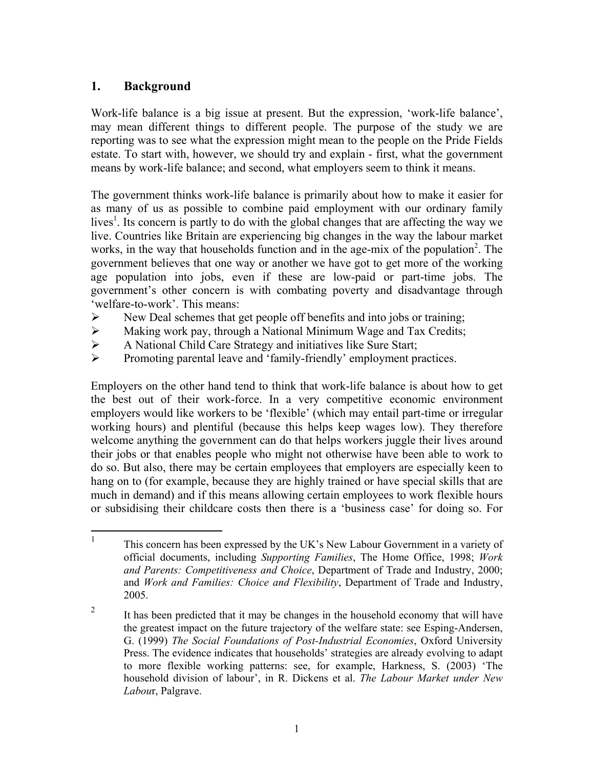# **1. Background**

1

Work-life balance is a big issue at present. But the expression, 'work-life balance', may mean different things to different people. The purpose of the study we are reporting was to see what the expression might mean to the people on the Pride Fields estate. To start with, however, we should try and explain - first, what the government means by work-life balance; and second, what employers seem to think it means.

The government thinks work-life balance is primarily about how to make it easier for as many of us as possible to combine paid employment with our ordinary family lives<sup>1</sup>. Its concern is partly to do with the global changes that are affecting the way we live. Countries like Britain are experiencing big changes in the way the labour market works, in the way that households function and in the age-mix of the population<sup>2</sup>. The government believes that one way or another we have got to get more of the working age population into jobs, even if these are low-paid or part-time jobs. The government's other concern is with combating poverty and disadvantage through 'welfare-to-work'. This means:

- $\triangleright$  New Deal schemes that get people off benefits and into jobs or training;
- ¾ Making work pay, through a National Minimum Wage and Tax Credits;
- ¾ A National Child Care Strategy and initiatives like Sure Start;
- ¾ Promoting parental leave and 'family-friendly' employment practices.

Employers on the other hand tend to think that work-life balance is about how to get the best out of their work-force. In a very competitive economic environment employers would like workers to be 'flexible' (which may entail part-time or irregular working hours) and plentiful (because this helps keep wages low). They therefore welcome anything the government can do that helps workers juggle their lives around their jobs or that enables people who might not otherwise have been able to work to do so. But also, there may be certain employees that employers are especially keen to hang on to (for example, because they are highly trained or have special skills that are much in demand) and if this means allowing certain employees to work flexible hours or subsidising their childcare costs then there is a 'business case' for doing so. For

<sup>1</sup> This concern has been expressed by the UK's New Labour Government in a variety of official documents, including *Supporting Families*, The Home Office, 1998; *Work and Parents: Competitiveness and Choice*, Department of Trade and Industry, 2000; and *Work and Families: Choice and Flexibility*, Department of Trade and Industry, 2005.

<sup>2</sup> It has been predicted that it may be changes in the household economy that will have the greatest impact on the future trajectory of the welfare state: see Esping-Andersen, G. (1999) *The Social Foundations of Post-Industrial Economies*, Oxford University Press. The evidence indicates that households' strategies are already evolving to adapt to more flexible working patterns: see, for example, Harkness, S. (2003) 'The household division of labour', in R. Dickens et al. *The Labour Market under New Labou*r, Palgrave.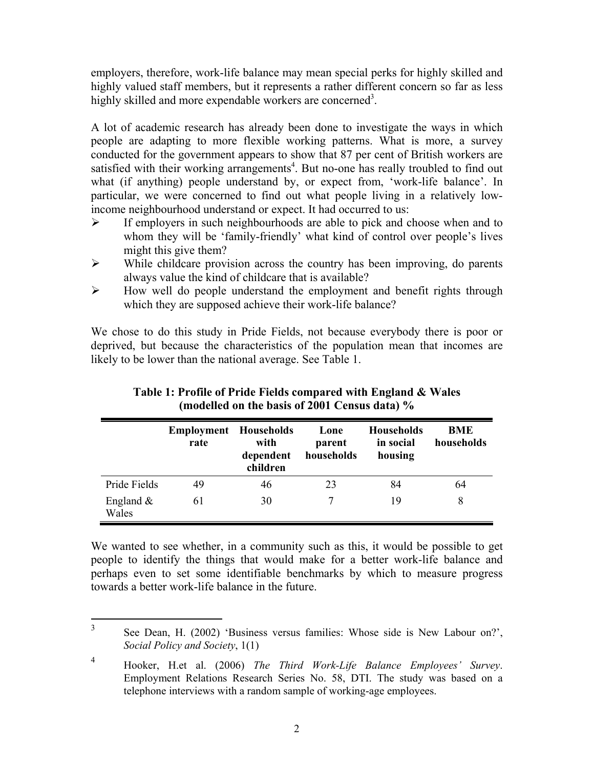employers, therefore, work-life balance may mean special perks for highly skilled and highly valued staff members, but it represents a rather different concern so far as less highly skilled and more expendable workers are concerned<sup>3</sup>.

A lot of academic research has already been done to investigate the ways in which people are adapting to more flexible working patterns. What is more, a survey conducted for the government appears to show that 87 per cent of British workers are satisfied with their working arrangements<sup>4</sup>. But no-one has really troubled to find out what (if anything) people understand by, or expect from, 'work-life balance'. In particular, we were concerned to find out what people living in a relatively lowincome neighbourhood understand or expect. It had occurred to us:

- ¾ If employers in such neighbourhoods are able to pick and choose when and to whom they will be 'family-friendly' what kind of control over people's lives might this give them?
- $\triangleright$  While childcare provision across the country has been improving, do parents always value the kind of childcare that is available?
- $\triangleright$  How well do people understand the employment and benefit rights through which they are supposed achieve their work-life balance?

We chose to do this study in Pride Fields, not because everybody there is poor or deprived, but because the characteristics of the population mean that incomes are likely to be lower than the national average. See Table 1.

|                       | <b>Employment Households</b><br>rate | with<br>dependent<br>children | Lone<br>parent<br>households | <b>Households</b><br>in social<br>housing | <b>BME</b><br>households |
|-----------------------|--------------------------------------|-------------------------------|------------------------------|-------------------------------------------|--------------------------|
| Pride Fields          | 49                                   | 46                            | 23                           | 84                                        | 64                       |
| England $\&$<br>Wales | 61                                   | 30                            |                              | 19                                        | 8                        |

**Table 1: Profile of Pride Fields compared with England & Wales (modelled on the basis of 2001 Census data) %** 

We wanted to see whether, in a community such as this, it would be possible to get people to identify the things that would make for a better work-life balance and perhaps even to set some identifiable benchmarks by which to measure progress towards a better work-life balance in the future.

 $\overline{a}$ 

<sup>3</sup> See Dean, H. (2002) 'Business versus families: Whose side is New Labour on?', *Social Policy and Society*, 1(1)

<sup>4</sup> Hooker, H.et al. (2006) *The Third Work-Life Balance Employees' Survey*. Employment Relations Research Series No. 58, DTI. The study was based on a telephone interviews with a random sample of working-age employees.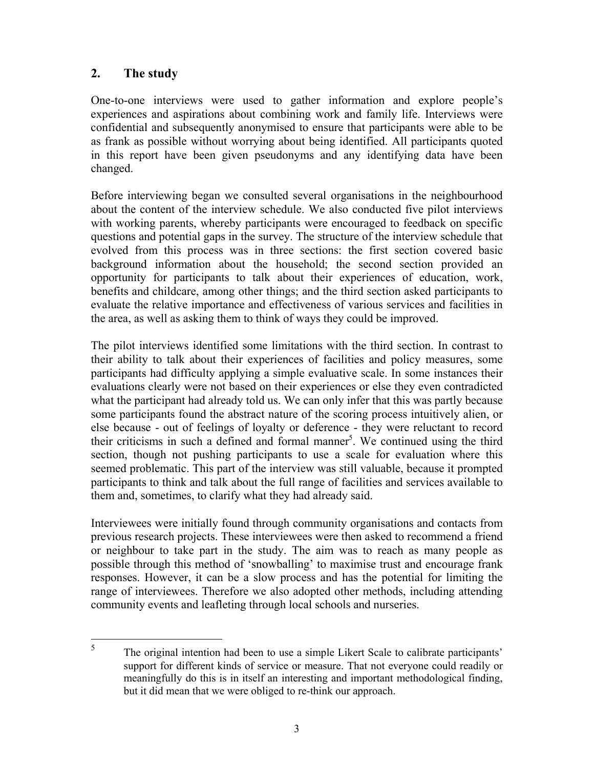# **2. The study**

1

One-to-one interviews were used to gather information and explore people's experiences and aspirations about combining work and family life. Interviews were confidential and subsequently anonymised to ensure that participants were able to be as frank as possible without worrying about being identified. All participants quoted in this report have been given pseudonyms and any identifying data have been changed.

Before interviewing began we consulted several organisations in the neighbourhood about the content of the interview schedule. We also conducted five pilot interviews with working parents, whereby participants were encouraged to feedback on specific questions and potential gaps in the survey. The structure of the interview schedule that evolved from this process was in three sections: the first section covered basic background information about the household; the second section provided an opportunity for participants to talk about their experiences of education, work, benefits and childcare, among other things; and the third section asked participants to evaluate the relative importance and effectiveness of various services and facilities in the area, as well as asking them to think of ways they could be improved.

The pilot interviews identified some limitations with the third section. In contrast to their ability to talk about their experiences of facilities and policy measures, some participants had difficulty applying a simple evaluative scale. In some instances their evaluations clearly were not based on their experiences or else they even contradicted what the participant had already told us. We can only infer that this was partly because some participants found the abstract nature of the scoring process intuitively alien, or else because - out of feelings of loyalty or deference - they were reluctant to record their criticisms in such a defined and formal manner<sup>5</sup>. We continued using the third section, though not pushing participants to use a scale for evaluation where this seemed problematic. This part of the interview was still valuable, because it prompted participants to think and talk about the full range of facilities and services available to them and, sometimes, to clarify what they had already said.

Interviewees were initially found through community organisations and contacts from previous research projects. These interviewees were then asked to recommend a friend or neighbour to take part in the study. The aim was to reach as many people as possible through this method of 'snowballing' to maximise trust and encourage frank responses. However, it can be a slow process and has the potential for limiting the range of interviewees. Therefore we also adopted other methods, including attending community events and leafleting through local schools and nurseries.

<sup>5</sup> The original intention had been to use a simple Likert Scale to calibrate participants' support for different kinds of service or measure. That not everyone could readily or meaningfully do this is in itself an interesting and important methodological finding, but it did mean that we were obliged to re-think our approach.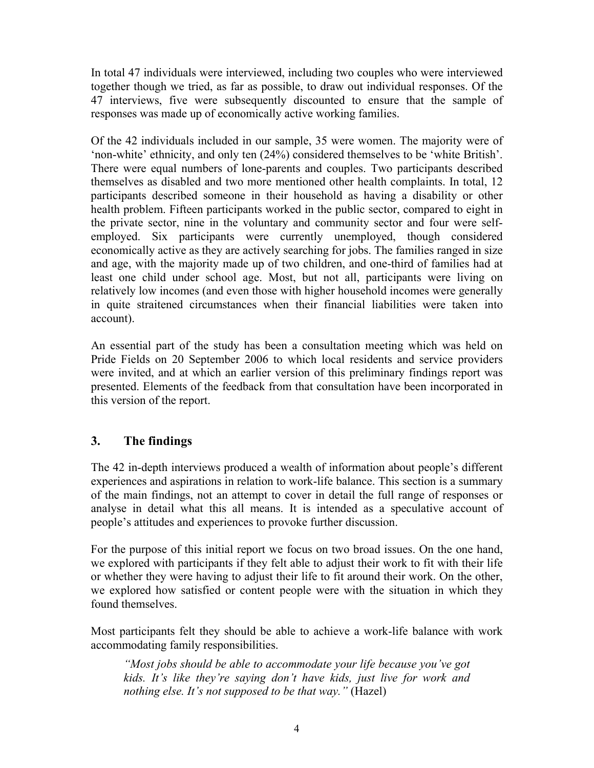In total 47 individuals were interviewed, including two couples who were interviewed together though we tried, as far as possible, to draw out individual responses. Of the 47 interviews, five were subsequently discounted to ensure that the sample of responses was made up of economically active working families.

Of the 42 individuals included in our sample, 35 were women. The majority were of 'non-white' ethnicity, and only ten (24%) considered themselves to be 'white British'. There were equal numbers of lone-parents and couples. Two participants described themselves as disabled and two more mentioned other health complaints. In total, 12 participants described someone in their household as having a disability or other health problem. Fifteen participants worked in the public sector, compared to eight in the private sector, nine in the voluntary and community sector and four were selfemployed. Six participants were currently unemployed, though considered economically active as they are actively searching for jobs. The families ranged in size and age, with the majority made up of two children, and one-third of families had at least one child under school age. Most, but not all, participants were living on relatively low incomes (and even those with higher household incomes were generally in quite straitened circumstances when their financial liabilities were taken into account).

An essential part of the study has been a consultation meeting which was held on Pride Fields on 20 September 2006 to which local residents and service providers were invited, and at which an earlier version of this preliminary findings report was presented. Elements of the feedback from that consultation have been incorporated in this version of the report.

# **3. The findings**

The 42 in-depth interviews produced a wealth of information about people's different experiences and aspirations in relation to work-life balance. This section is a summary of the main findings, not an attempt to cover in detail the full range of responses or analyse in detail what this all means. It is intended as a speculative account of people's attitudes and experiences to provoke further discussion.

For the purpose of this initial report we focus on two broad issues. On the one hand, we explored with participants if they felt able to adjust their work to fit with their life or whether they were having to adjust their life to fit around their work. On the other, we explored how satisfied or content people were with the situation in which they found themselves.

Most participants felt they should be able to achieve a work-life balance with work accommodating family responsibilities.

*"Most jobs should be able to accommodate your life because you've got kids. It's like they're saying don't have kids, just live for work and nothing else. It's not supposed to be that way."* (Hazel)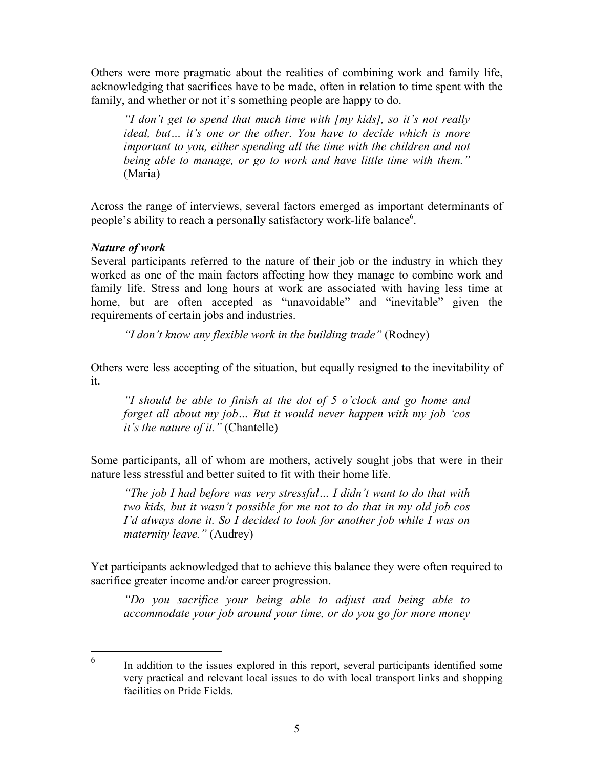Others were more pragmatic about the realities of combining work and family life, acknowledging that sacrifices have to be made, often in relation to time spent with the family, and whether or not it's something people are happy to do.

*"I don't get to spend that much time with [my kids], so it's not really ideal, but… it's one or the other. You have to decide which is more important to you, either spending all the time with the children and not being able to manage, or go to work and have little time with them."*  (Maria)

Across the range of interviews, several factors emerged as important determinants of people's ability to reach a personally satisfactory work-life balance<sup>6</sup>.

### *Nature of work*

Several participants referred to the nature of their job or the industry in which they worked as one of the main factors affecting how they manage to combine work and family life. Stress and long hours at work are associated with having less time at home, but are often accepted as "unavoidable" and "inevitable" given the requirements of certain jobs and industries.

*"I don't know any flexible work in the building trade"* (Rodney)

Others were less accepting of the situation, but equally resigned to the inevitability of it.

*"I should be able to finish at the dot of 5 o'clock and go home and forget all about my job… But it would never happen with my job 'cos it's the nature of it."* (Chantelle)

Some participants, all of whom are mothers, actively sought jobs that were in their nature less stressful and better suited to fit with their home life.

*"The job I had before was very stressful… I didn't want to do that with two kids, but it wasn't possible for me not to do that in my old job cos I'd always done it. So I decided to look for another job while I was on maternity leave."* (Audrey)

Yet participants acknowledged that to achieve this balance they were often required to sacrifice greater income and/or career progression.

*"Do you sacrifice your being able to adjust and being able to accommodate your job around your time, or do you go for more money* 

 $\frac{1}{6}$  In addition to the issues explored in this report, several participants identified some very practical and relevant local issues to do with local transport links and shopping facilities on Pride Fields.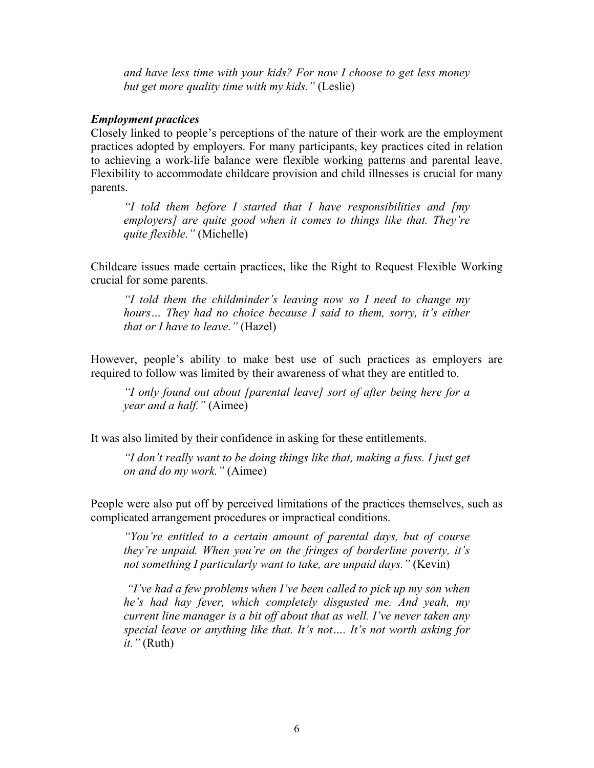*and have less time with your kids? For now I choose to get less money but get more quality time with my kids."* (Leslie)

#### *Employment practices*

Closely linked to people's perceptions of the nature of their work are the employment practices adopted by employers. For many participants, key practices cited in relation to achieving a work-life balance were flexible working patterns and parental leave. Flexibility to accommodate childcare provision and child illnesses is crucial for many parents.

*"I told them before I started that I have responsibilities and [my employers] are quite good when it comes to things like that. They're quite flexible."* (Michelle)

Childcare issues made certain practices, like the Right to Request Flexible Working crucial for some parents.

*"I told them the childminder's leaving now so I need to change my hours… They had no choice because I said to them, sorry, it's either that or I have to leave."* (Hazel)

However, people's ability to make best use of such practices as employers are required to follow was limited by their awareness of what they are entitled to.

*"I only found out about [parental leave] sort of after being here for a year and a half."* (Aimee)

It was also limited by their confidence in asking for these entitlements.

*"I don't really want to be doing things like that, making a fuss. I just get on and do my work."* (Aimee)

People were also put off by perceived limitations of the practices themselves, such as complicated arrangement procedures or impractical conditions.

*"You're entitled to a certain amount of parental days, but of course they're unpaid. When you're on the fringes of borderline poverty, it's not something I particularly want to take, are unpaid days.*" (Kevin)

 *"I've had a few problems when I've been called to pick up my son when he's had hay fever, which completely disgusted me. And yeah, my current line manager is a bit off about that as well. I've never taken any special leave or anything like that. It's not…. It's not worth asking for it."* (Ruth)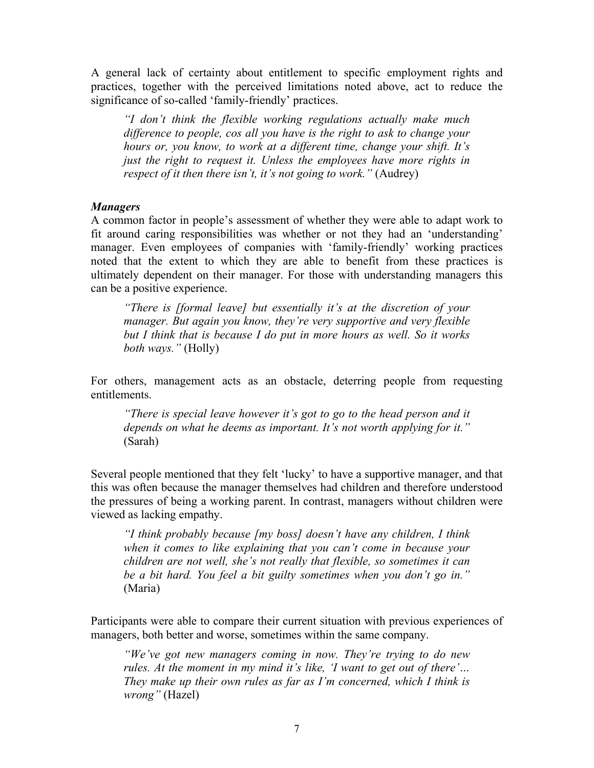A general lack of certainty about entitlement to specific employment rights and practices, together with the perceived limitations noted above, act to reduce the significance of so-called 'family-friendly' practices.

*"I don't think the flexible working regulations actually make much difference to people, cos all you have is the right to ask to change your hours or, you know, to work at a different time, change your shift. It's just the right to request it. Unless the employees have more rights in respect of it then there isn't, it's not going to work.*" (Audrey)

#### *Managers*

A common factor in people's assessment of whether they were able to adapt work to fit around caring responsibilities was whether or not they had an 'understanding' manager. Even employees of companies with 'family-friendly' working practices noted that the extent to which they are able to benefit from these practices is ultimately dependent on their manager. For those with understanding managers this can be a positive experience.

*"There is [formal leave] but essentially it's at the discretion of your manager. But again you know, they're very supportive and very flexible but I think that is because I do put in more hours as well. So it works both ways."* (Holly)

For others, management acts as an obstacle, deterring people from requesting entitlements.

*"There is special leave however it's got to go to the head person and it depends on what he deems as important. It's not worth applying for it."*  (Sarah)

Several people mentioned that they felt 'lucky' to have a supportive manager, and that this was often because the manager themselves had children and therefore understood the pressures of being a working parent. In contrast, managers without children were viewed as lacking empathy.

*"I think probably because [my boss] doesn't have any children, I think when it comes to like explaining that you can't come in because your children are not well, she's not really that flexible, so sometimes it can be a bit hard. You feel a bit guilty sometimes when you don't go in."*  (Maria)

Participants were able to compare their current situation with previous experiences of managers, both better and worse, sometimes within the same company.

*"We've got new managers coming in now. They're trying to do new rules. At the moment in my mind it's like, 'I want to get out of there'… They make up their own rules as far as I'm concerned, which I think is wrong"* (Hazel)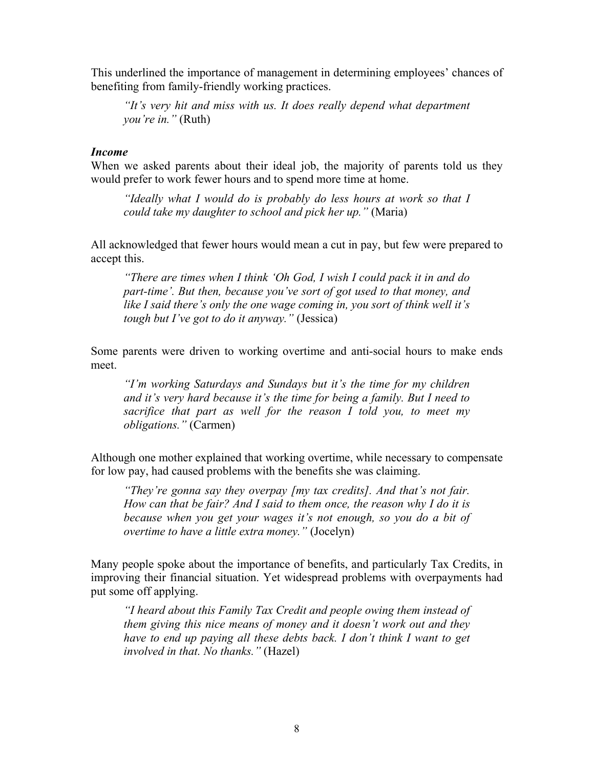This underlined the importance of management in determining employees' chances of benefiting from family-friendly working practices.

*"It's very hit and miss with us. It does really depend what department you're in."* (Ruth)

#### *Income*

When we asked parents about their ideal job, the majority of parents told us they would prefer to work fewer hours and to spend more time at home.

*"Ideally what I would do is probably do less hours at work so that I could take my daughter to school and pick her up."* (Maria)

All acknowledged that fewer hours would mean a cut in pay, but few were prepared to accept this.

*"There are times when I think 'Oh God, I wish I could pack it in and do part-time'. But then, because you've sort of got used to that money, and like I said there's only the one wage coming in, you sort of think well it's tough but I've got to do it anyway."* (Jessica)

Some parents were driven to working overtime and anti-social hours to make ends meet.

*"I'm working Saturdays and Sundays but it's the time for my children and it's very hard because it's the time for being a family. But I need to sacrifice that part as well for the reason I told you, to meet my obligations."* (Carmen)

Although one mother explained that working overtime, while necessary to compensate for low pay, had caused problems with the benefits she was claiming.

*"They're gonna say they overpay [my tax credits]. And that's not fair. How can that be fair? And I said to them once, the reason why I do it is because when you get your wages it's not enough, so you do a bit of overtime to have a little extra money."* (Jocelyn)

Many people spoke about the importance of benefits, and particularly Tax Credits, in improving their financial situation. Yet widespread problems with overpayments had put some off applying.

*"I heard about this Family Tax Credit and people owing them instead of them giving this nice means of money and it doesn't work out and they have to end up paying all these debts back. I don't think I want to get involved in that. No thanks."* (Hazel)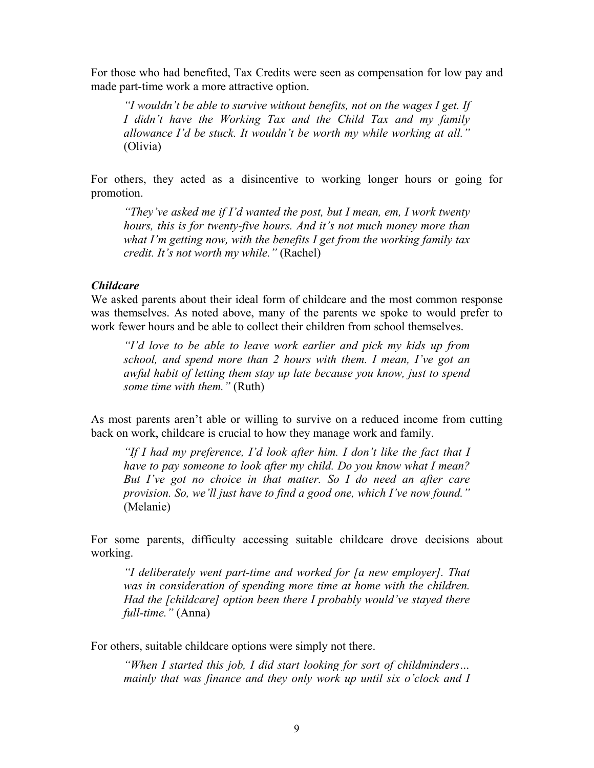For those who had benefited, Tax Credits were seen as compensation for low pay and made part-time work a more attractive option.

*"I wouldn't be able to survive without benefits, not on the wages I get. If I didn't have the Working Tax and the Child Tax and my family allowance I'd be stuck. It wouldn't be worth my while working at all."*  (Olivia)

For others, they acted as a disincentive to working longer hours or going for promotion.

*"They've asked me if I'd wanted the post, but I mean, em, I work twenty hours, this is for twenty-five hours. And it's not much money more than what I'm getting now, with the benefits I get from the working family tax credit. It's not worth my while."* (Rachel)

#### *Childcare*

We asked parents about their ideal form of childcare and the most common response was themselves. As noted above, many of the parents we spoke to would prefer to work fewer hours and be able to collect their children from school themselves.

*"I'd love to be able to leave work earlier and pick my kids up from school, and spend more than 2 hours with them. I mean, I've got an awful habit of letting them stay up late because you know, just to spend some time with them."* (Ruth)

As most parents aren't able or willing to survive on a reduced income from cutting back on work, childcare is crucial to how they manage work and family.

*"If I had my preference, I'd look after him. I don't like the fact that I have to pay someone to look after my child. Do you know what I mean? But I've got no choice in that matter. So I do need an after care provision. So, we'll just have to find a good one, which I've now found."*  (Melanie)

For some parents, difficulty accessing suitable childcare drove decisions about working.

*"I deliberately went part-time and worked for [a new employer]. That was in consideration of spending more time at home with the children. Had the [childcare] option been there I probably would've stayed there full-time."* (Anna)

For others, suitable childcare options were simply not there.

*"When I started this job, I did start looking for sort of childminders… mainly that was finance and they only work up until six o'clock and I*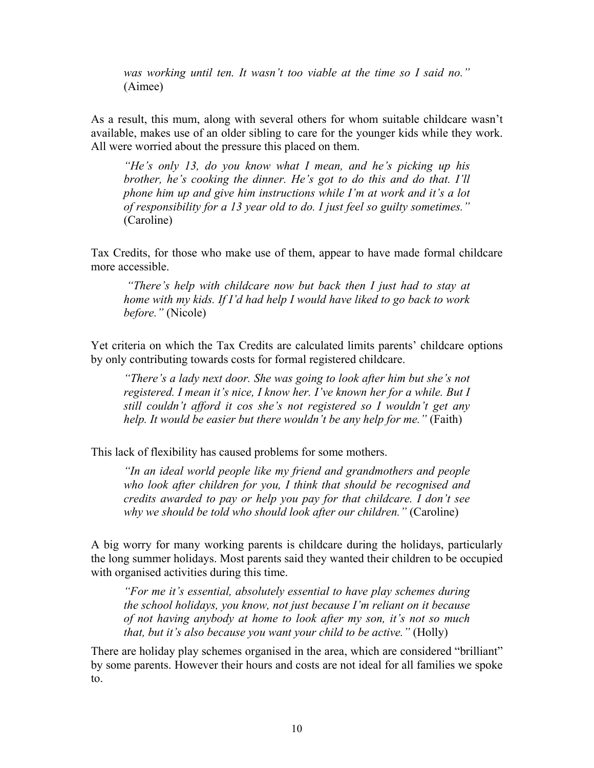*was working until ten. It wasn't too viable at the time so I said no."*  (Aimee)

As a result, this mum, along with several others for whom suitable childcare wasn't available, makes use of an older sibling to care for the younger kids while they work. All were worried about the pressure this placed on them.

*"He's only 13, do you know what I mean, and he's picking up his brother, he's cooking the dinner. He's got to do this and do that. I'll phone him up and give him instructions while I'm at work and it's a lot of responsibility for a 13 year old to do. I just feel so guilty sometimes."*  (Caroline)

Tax Credits, for those who make use of them, appear to have made formal childcare more accessible.

 *"There's help with childcare now but back then I just had to stay at home with my kids. If I'd had help I would have liked to go back to work before."* (Nicole)

Yet criteria on which the Tax Credits are calculated limits parents' childcare options by only contributing towards costs for formal registered childcare.

*"There's a lady next door. She was going to look after him but she's not registered. I mean it's nice, I know her. I've known her for a while. But I still couldn't afford it cos she's not registered so I wouldn't get any help. It would be easier but there wouldn't be any help for me.* " (Faith)

This lack of flexibility has caused problems for some mothers.

*"In an ideal world people like my friend and grandmothers and people who look after children for you, I think that should be recognised and credits awarded to pay or help you pay for that childcare. I don't see why we should be told who should look after our children."* (Caroline)

A big worry for many working parents is childcare during the holidays, particularly the long summer holidays. Most parents said they wanted their children to be occupied with organised activities during this time.

*"For me it's essential, absolutely essential to have play schemes during the school holidays, you know, not just because I'm reliant on it because of not having anybody at home to look after my son, it's not so much that, but it's also because you want your child to be active."* (Holly)

There are holiday play schemes organised in the area, which are considered "brilliant" by some parents. However their hours and costs are not ideal for all families we spoke to.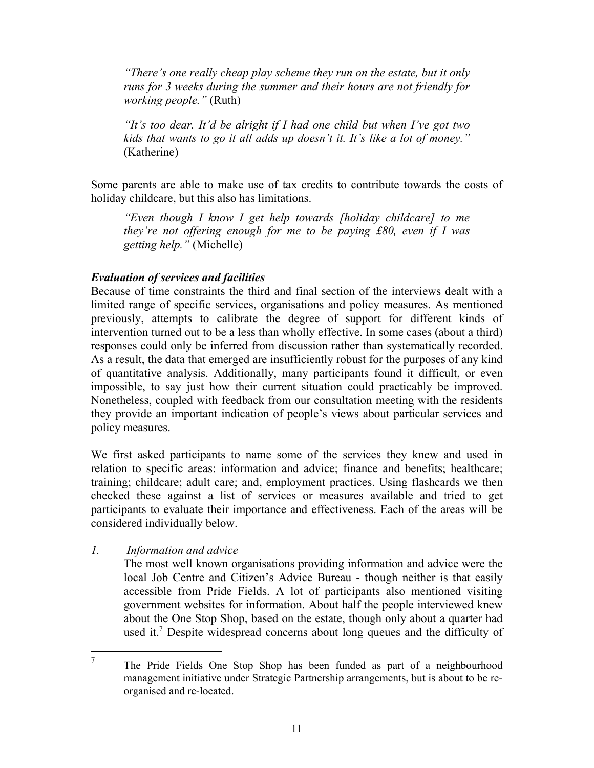*"There's one really cheap play scheme they run on the estate, but it only runs for 3 weeks during the summer and their hours are not friendly for working people."* (Ruth)

*"It's too dear. It'd be alright if I had one child but when I've got two kids that wants to go it all adds up doesn't it. It's like a lot of money."*  (Katherine)

Some parents are able to make use of tax credits to contribute towards the costs of holiday childcare, but this also has limitations.

*"Even though I know I get help towards [holiday childcare] to me they're not offering enough for me to be paying £80, even if I was getting help."* (Michelle)

## *Evaluation of services and facilities*

Because of time constraints the third and final section of the interviews dealt with a limited range of specific services, organisations and policy measures. As mentioned previously, attempts to calibrate the degree of support for different kinds of intervention turned out to be a less than wholly effective. In some cases (about a third) responses could only be inferred from discussion rather than systematically recorded. As a result, the data that emerged are insufficiently robust for the purposes of any kind of quantitative analysis. Additionally, many participants found it difficult, or even impossible, to say just how their current situation could practicably be improved. Nonetheless, coupled with feedback from our consultation meeting with the residents they provide an important indication of people's views about particular services and policy measures.

We first asked participants to name some of the services they knew and used in relation to specific areas: information and advice; finance and benefits; healthcare; training; childcare; adult care; and, employment practices. Using flashcards we then checked these against a list of services or measures available and tried to get participants to evaluate their importance and effectiveness. Each of the areas will be considered individually below.

# *1. Information and advice*

The most well known organisations providing information and advice were the local Job Centre and Citizen's Advice Bureau - though neither is that easily accessible from Pride Fields. A lot of participants also mentioned visiting government websites for information. About half the people interviewed knew about the One Stop Shop, based on the estate, though only about a quarter had used it.<sup>7</sup> Despite widespread concerns about long queues and the difficulty of

 $\frac{1}{7}$  The Pride Fields One Stop Shop has been funded as part of a neighbourhood management initiative under Strategic Partnership arrangements, but is about to be reorganised and re-located.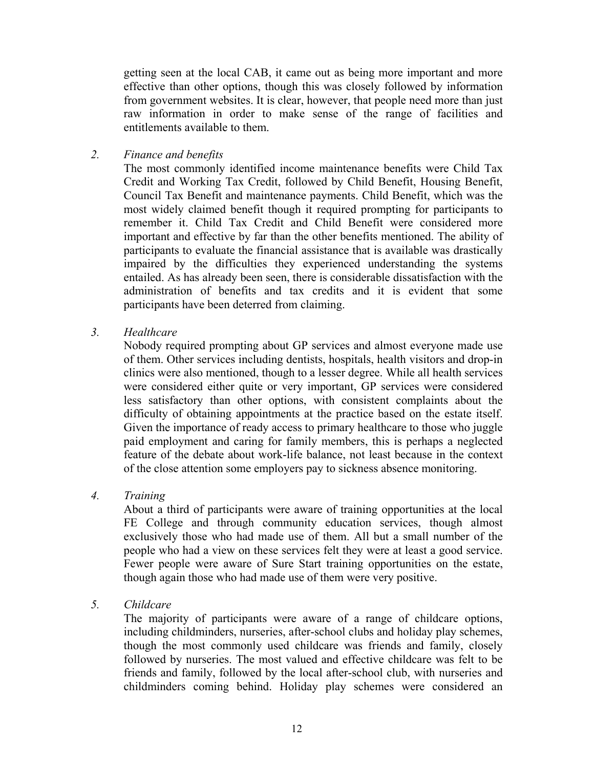getting seen at the local CAB, it came out as being more important and more effective than other options, though this was closely followed by information from government websites. It is clear, however, that people need more than just raw information in order to make sense of the range of facilities and entitlements available to them.

*2. Finance and benefits* 

The most commonly identified income maintenance benefits were Child Tax Credit and Working Tax Credit, followed by Child Benefit, Housing Benefit, Council Tax Benefit and maintenance payments. Child Benefit, which was the most widely claimed benefit though it required prompting for participants to remember it. Child Tax Credit and Child Benefit were considered more important and effective by far than the other benefits mentioned. The ability of participants to evaluate the financial assistance that is available was drastically impaired by the difficulties they experienced understanding the systems entailed. As has already been seen, there is considerable dissatisfaction with the administration of benefits and tax credits and it is evident that some participants have been deterred from claiming.

*3. Healthcare* 

Nobody required prompting about GP services and almost everyone made use of them. Other services including dentists, hospitals, health visitors and drop-in clinics were also mentioned, though to a lesser degree. While all health services were considered either quite or very important, GP services were considered less satisfactory than other options, with consistent complaints about the difficulty of obtaining appointments at the practice based on the estate itself. Given the importance of ready access to primary healthcare to those who juggle paid employment and caring for family members, this is perhaps a neglected feature of the debate about work-life balance, not least because in the context of the close attention some employers pay to sickness absence monitoring.

# *4. Training*

About a third of participants were aware of training opportunities at the local FE College and through community education services, though almost exclusively those who had made use of them. All but a small number of the people who had a view on these services felt they were at least a good service. Fewer people were aware of Sure Start training opportunities on the estate, though again those who had made use of them were very positive.

*5. Childcare* 

The majority of participants were aware of a range of childcare options, including childminders, nurseries, after-school clubs and holiday play schemes, though the most commonly used childcare was friends and family, closely followed by nurseries. The most valued and effective childcare was felt to be friends and family, followed by the local after-school club, with nurseries and childminders coming behind. Holiday play schemes were considered an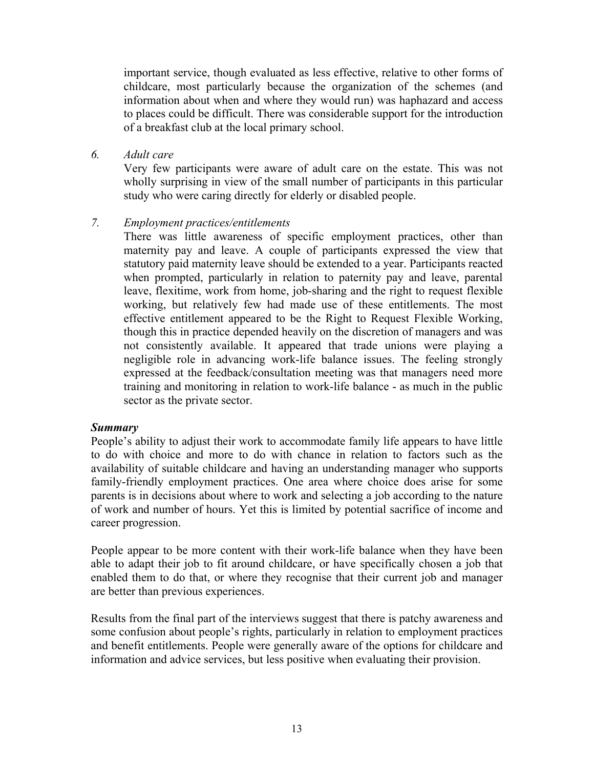important service, though evaluated as less effective, relative to other forms of childcare, most particularly because the organization of the schemes (and information about when and where they would run) was haphazard and access to places could be difficult. There was considerable support for the introduction of a breakfast club at the local primary school.

*6. Adult care* 

Very few participants were aware of adult care on the estate. This was not wholly surprising in view of the small number of participants in this particular study who were caring directly for elderly or disabled people.

*7. Employment practices/entitlements* 

There was little awareness of specific employment practices, other than maternity pay and leave. A couple of participants expressed the view that statutory paid maternity leave should be extended to a year. Participants reacted when prompted, particularly in relation to paternity pay and leave, parental leave, flexitime, work from home, job-sharing and the right to request flexible working, but relatively few had made use of these entitlements. The most effective entitlement appeared to be the Right to Request Flexible Working, though this in practice depended heavily on the discretion of managers and was not consistently available. It appeared that trade unions were playing a negligible role in advancing work-life balance issues. The feeling strongly expressed at the feedback/consultation meeting was that managers need more training and monitoring in relation to work-life balance - as much in the public sector as the private sector.

#### *Summary*

People's ability to adjust their work to accommodate family life appears to have little to do with choice and more to do with chance in relation to factors such as the availability of suitable childcare and having an understanding manager who supports family-friendly employment practices. One area where choice does arise for some parents is in decisions about where to work and selecting a job according to the nature of work and number of hours. Yet this is limited by potential sacrifice of income and career progression.

People appear to be more content with their work-life balance when they have been able to adapt their job to fit around childcare, or have specifically chosen a job that enabled them to do that, or where they recognise that their current job and manager are better than previous experiences.

Results from the final part of the interviews suggest that there is patchy awareness and some confusion about people's rights, particularly in relation to employment practices and benefit entitlements. People were generally aware of the options for childcare and information and advice services, but less positive when evaluating their provision.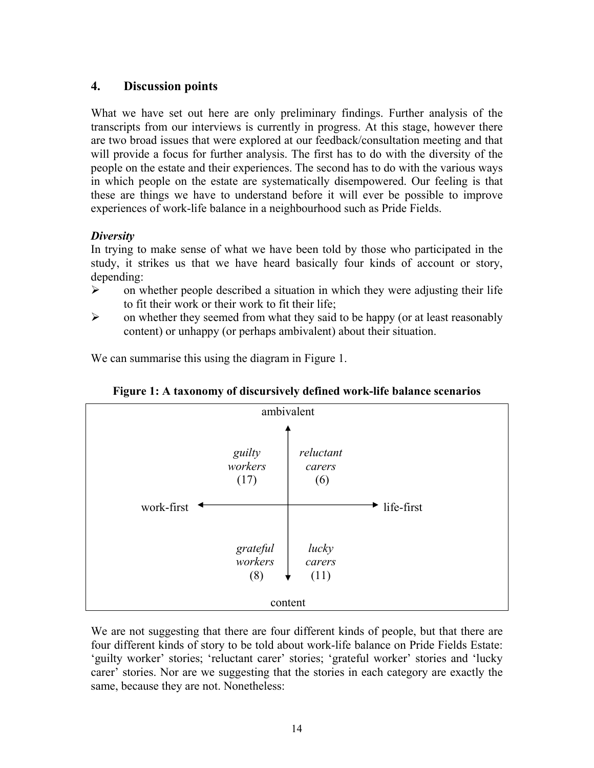# **4. Discussion points**

What we have set out here are only preliminary findings. Further analysis of the transcripts from our interviews is currently in progress. At this stage, however there are two broad issues that were explored at our feedback/consultation meeting and that will provide a focus for further analysis. The first has to do with the diversity of the people on the estate and their experiences. The second has to do with the various ways in which people on the estate are systematically disempowered. Our feeling is that these are things we have to understand before it will ever be possible to improve experiences of work-life balance in a neighbourhood such as Pride Fields.

# *Diversity*

In trying to make sense of what we have been told by those who participated in the study, it strikes us that we have heard basically four kinds of account or story, depending:

- $\triangleright$  on whether people described a situation in which they were adjusting their life to fit their work or their work to fit their life;
- ¾ on whether they seemed from what they said to be happy (or at least reasonably content) or unhappy (or perhaps ambivalent) about their situation.

 ambivalent *guilty reluctant workers carers*   $(17)$  (6) work-first  $\leftarrow$  life-first *grateful lucky workers* carers  $(8) \qquad (11)$ content

We can summarise this using the diagram in Figure 1.

**Figure 1: A taxonomy of discursively defined work-life balance scenarios** 

We are not suggesting that there are four different kinds of people, but that there are four different kinds of story to be told about work-life balance on Pride Fields Estate: 'guilty worker' stories; 'reluctant carer' stories; 'grateful worker' stories and 'lucky carer' stories. Nor are we suggesting that the stories in each category are exactly the same, because they are not. Nonetheless: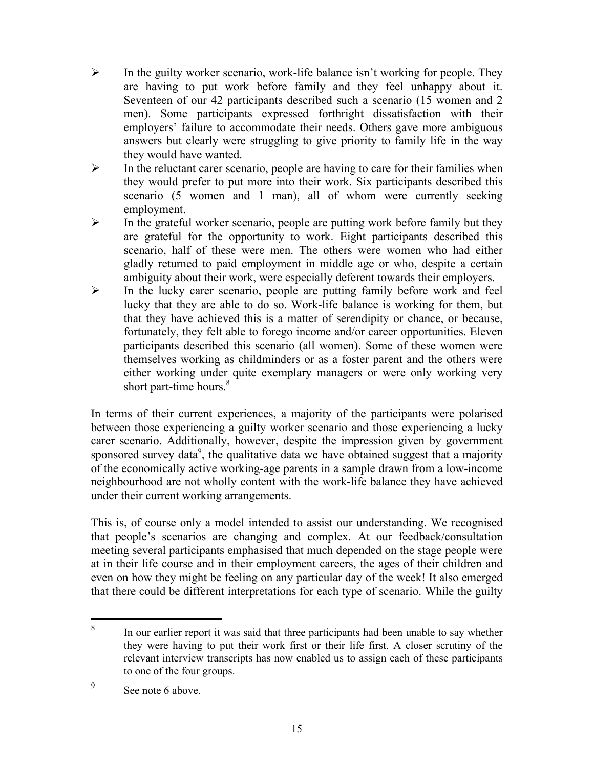- $\triangleright$  In the guilty worker scenario, work-life balance isn't working for people. They are having to put work before family and they feel unhappy about it. Seventeen of our 42 participants described such a scenario (15 women and 2 men). Some participants expressed forthright dissatisfaction with their employers' failure to accommodate their needs. Others gave more ambiguous answers but clearly were struggling to give priority to family life in the way they would have wanted.
- $\triangleright$  In the reluctant carer scenario, people are having to care for their families when they would prefer to put more into their work. Six participants described this scenario (5 women and 1 man), all of whom were currently seeking employment.
- $\triangleright$  In the grateful worker scenario, people are putting work before family but they are grateful for the opportunity to work. Eight participants described this scenario, half of these were men. The others were women who had either gladly returned to paid employment in middle age or who, despite a certain ambiguity about their work, were especially deferent towards their employers.
- $\triangleright$  In the lucky carer scenario, people are putting family before work and feel lucky that they are able to do so. Work-life balance is working for them, but that they have achieved this is a matter of serendipity or chance, or because, fortunately, they felt able to forego income and/or career opportunities. Eleven participants described this scenario (all women). Some of these women were themselves working as childminders or as a foster parent and the others were either working under quite exemplary managers or were only working very short part-time hours.<sup>8</sup>

In terms of their current experiences, a majority of the participants were polarised between those experiencing a guilty worker scenario and those experiencing a lucky carer scenario. Additionally, however, despite the impression given by government sponsored survey data<sup>9</sup>, the qualitative data we have obtained suggest that a majority of the economically active working-age parents in a sample drawn from a low-income neighbourhood are not wholly content with the work-life balance they have achieved under their current working arrangements.

This is, of course only a model intended to assist our understanding. We recognised that people's scenarios are changing and complex. At our feedback/consultation meeting several participants emphasised that much depended on the stage people were at in their life course and in their employment careers, the ages of their children and even on how they might be feeling on any particular day of the week! It also emerged that there could be different interpretations for each type of scenario. While the guilty

 $\overline{a}$ 

<sup>8</sup> In our earlier report it was said that three participants had been unable to say whether they were having to put their work first or their life first. A closer scrutiny of the relevant interview transcripts has now enabled us to assign each of these participants to one of the four groups.

<sup>9</sup> See note 6 above.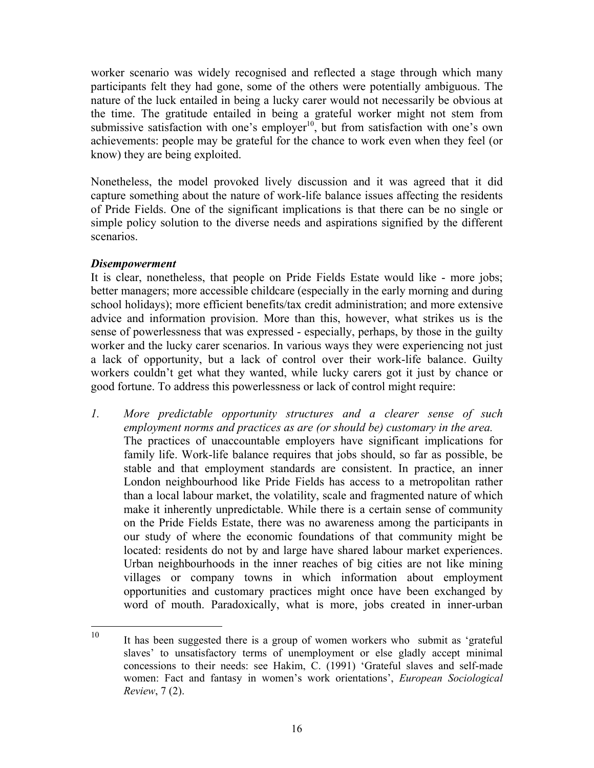worker scenario was widely recognised and reflected a stage through which many participants felt they had gone, some of the others were potentially ambiguous. The nature of the luck entailed in being a lucky carer would not necessarily be obvious at the time. The gratitude entailed in being a grateful worker might not stem from submissive satisfaction with one's employer $10$ , but from satisfaction with one's own achievements: people may be grateful for the chance to work even when they feel (or know) they are being exploited.

Nonetheless, the model provoked lively discussion and it was agreed that it did capture something about the nature of work-life balance issues affecting the residents of Pride Fields. One of the significant implications is that there can be no single or simple policy solution to the diverse needs and aspirations signified by the different scenarios.

### *Disempowerment*

It is clear, nonetheless, that people on Pride Fields Estate would like - more jobs; better managers; more accessible childcare (especially in the early morning and during school holidays); more efficient benefits/tax credit administration; and more extensive advice and information provision. More than this, however, what strikes us is the sense of powerlessness that was expressed - especially, perhaps, by those in the guilty worker and the lucky carer scenarios. In various ways they were experiencing not just a lack of opportunity, but a lack of control over their work-life balance. Guilty workers couldn't get what they wanted, while lucky carers got it just by chance or good fortune. To address this powerlessness or lack of control might require:

*1. More predictable opportunity structures and a clearer sense of such employment norms and practices as are (or should be) customary in the area.*  The practices of unaccountable employers have significant implications for family life. Work-life balance requires that jobs should, so far as possible, be stable and that employment standards are consistent. In practice, an inner London neighbourhood like Pride Fields has access to a metropolitan rather than a local labour market, the volatility, scale and fragmented nature of which make it inherently unpredictable. While there is a certain sense of community on the Pride Fields Estate, there was no awareness among the participants in our study of where the economic foundations of that community might be located: residents do not by and large have shared labour market experiences. Urban neighbourhoods in the inner reaches of big cities are not like mining villages or company towns in which information about employment opportunities and customary practices might once have been exchanged by word of mouth. Paradoxically, what is more, jobs created in inner-urban

<sup>10</sup> It has been suggested there is a group of women workers who submit as 'grateful slaves' to unsatisfactory terms of unemployment or else gladly accept minimal concessions to their needs: see Hakim, C. (1991) 'Grateful slaves and self-made women: Fact and fantasy in women's work orientations', *European Sociological Review*, 7 (2).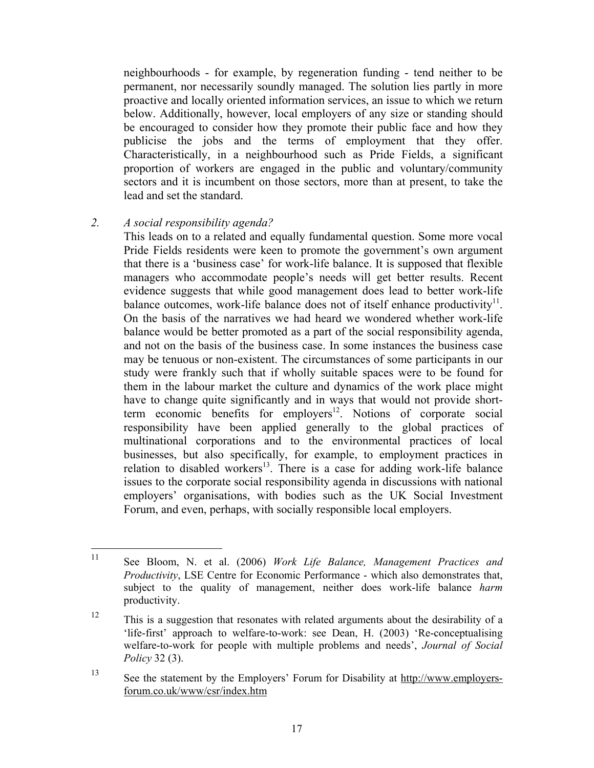neighbourhoods - for example, by regeneration funding - tend neither to be permanent, nor necessarily soundly managed. The solution lies partly in more proactive and locally oriented information services, an issue to which we return below. Additionally, however, local employers of any size or standing should be encouraged to consider how they promote their public face and how they publicise the jobs and the terms of employment that they offer. Characteristically, in a neighbourhood such as Pride Fields, a significant proportion of workers are engaged in the public and voluntary/community sectors and it is incumbent on those sectors, more than at present, to take the lead and set the standard.

## *2. A social responsibility agenda?*

This leads on to a related and equally fundamental question. Some more vocal Pride Fields residents were keen to promote the government's own argument that there is a 'business case' for work-life balance. It is supposed that flexible managers who accommodate people's needs will get better results. Recent evidence suggests that while good management does lead to better work-life balance outcomes, work-life balance does not of itself enhance productivity<sup>11</sup>. On the basis of the narratives we had heard we wondered whether work-life balance would be better promoted as a part of the social responsibility agenda, and not on the basis of the business case. In some instances the business case may be tenuous or non-existent. The circumstances of some participants in our study were frankly such that if wholly suitable spaces were to be found for them in the labour market the culture and dynamics of the work place might have to change quite significantly and in ways that would not provide shortterm economic benefits for employers<sup>12</sup>. Notions of corporate social responsibility have been applied generally to the global practices of multinational corporations and to the environmental practices of local businesses, but also specifically, for example, to employment practices in relation to disabled workers<sup>13</sup>. There is a case for adding work-life balance issues to the corporate social responsibility agenda in discussions with national employers' organisations, with bodies such as the UK Social Investment Forum, and even, perhaps, with socially responsible local employers.

 $11$ 11 See Bloom, N. et al. (2006) *Work Life Balance, Management Practices and Productivity*, LSE Centre for Economic Performance - which also demonstrates that, subject to the quality of management, neither does work-life balance *harm* productivity.

 $12$  This is a suggestion that resonates with related arguments about the desirability of a 'life-first' approach to welfare-to-work: see Dean, H. (2003) 'Re-conceptualising welfare-to-work for people with multiple problems and needs', *Journal of Social Policy* 32 (3).

<sup>13</sup> See the statement by the Employers' Forum for Disability at http://www.employersforum.co.uk/www/csr/index.htm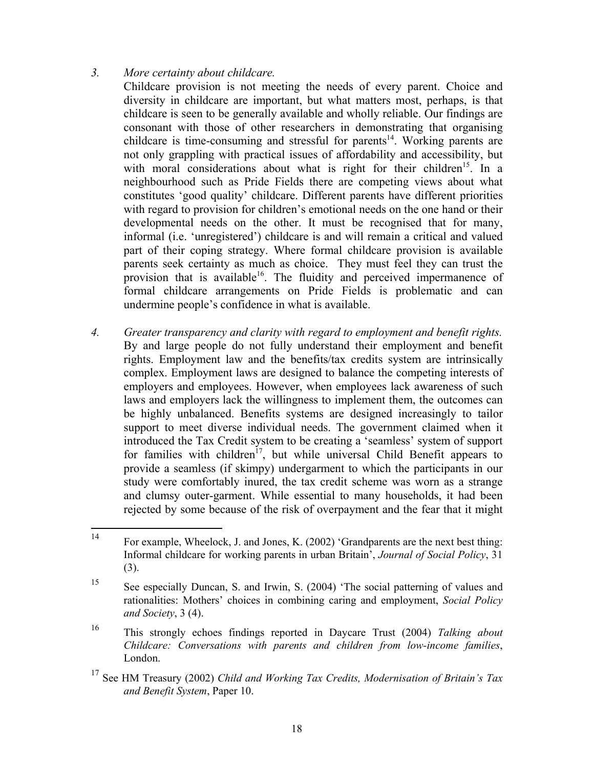### *3. More certainty about childcare.*

Childcare provision is not meeting the needs of every parent. Choice and diversity in childcare are important, but what matters most, perhaps, is that childcare is seen to be generally available and wholly reliable. Our findings are consonant with those of other researchers in demonstrating that organising childcare is time-consuming and stressful for parents<sup>14</sup>. Working parents are not only grappling with practical issues of affordability and accessibility, but with moral considerations about what is right for their children<sup>15</sup>. In a neighbourhood such as Pride Fields there are competing views about what constitutes 'good quality' childcare. Different parents have different priorities with regard to provision for children's emotional needs on the one hand or their developmental needs on the other. It must be recognised that for many, informal (i.e. 'unregistered') childcare is and will remain a critical and valued part of their coping strategy. Where formal childcare provision is available parents seek certainty as much as choice. They must feel they can trust the provision that is available<sup>16</sup>. The fluidity and perceived impermanence of formal childcare arrangements on Pride Fields is problematic and can undermine people's confidence in what is available.

*4. Greater transparency and clarity with regard to employment and benefit rights.*  By and large people do not fully understand their employment and benefit rights. Employment law and the benefits/tax credits system are intrinsically complex. Employment laws are designed to balance the competing interests of employers and employees. However, when employees lack awareness of such laws and employers lack the willingness to implement them, the outcomes can be highly unbalanced. Benefits systems are designed increasingly to tailor support to meet diverse individual needs. The government claimed when it introduced the Tax Credit system to be creating a 'seamless' system of support for families with children<sup>17</sup>, but while universal Child Benefit appears to provide a seamless (if skimpy) undergarment to which the participants in our study were comfortably inured, the tax credit scheme was worn as a strange and clumsy outer-garment. While essential to many households, it had been rejected by some because of the risk of overpayment and the fear that it might

 $14$ For example, Wheelock, J. and Jones, K. (2002) 'Grandparents are the next best thing: Informal childcare for working parents in urban Britain', *Journal of Social Policy*, 31 (3).

<sup>15</sup> See especially Duncan, S. and Irwin, S. (2004) 'The social patterning of values and rationalities: Mothers' choices in combining caring and employment, *Social Policy and Society*, 3 (4).

<sup>16</sup> This strongly echoes findings reported in Daycare Trust (2004) *Talking about Childcare: Conversations with parents and children from low-income families*, London.

<sup>17</sup> See HM Treasury (2002) *Child and Working Tax Credits, Modernisation of Britain's Tax and Benefit System*, Paper 10.